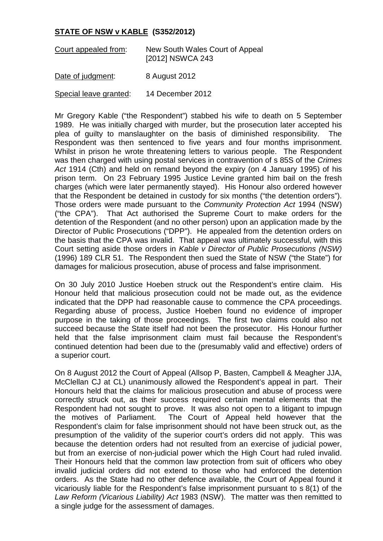## **STATE OF NSW v KABLE (S352/2012)**

| Court appealed from:   | New South Wales Court of Appeal<br>[2012] NSWCA 243 |
|------------------------|-----------------------------------------------------|
| Date of judgment:      | 8 August 2012                                       |
| Special leave granted: | 14 December 2012                                    |

Mr Gregory Kable ("the Respondent") stabbed his wife to death on 5 September 1989. He was initially charged with murder, but the prosecution later accepted his plea of guilty to manslaughter on the basis of diminished responsibility. The Respondent was then sentenced to five years and four months imprisonment. Whilst in prison he wrote threatening letters to various people. The Respondent was then charged with using postal services in contravention of s 85S of the *Crimes Act* 1914 (Cth) and held on remand beyond the expiry (on 4 January 1995) of his prison term. On 23 February 1995 Justice Levine granted him bail on the fresh charges (which were later permanently stayed). His Honour also ordered however that the Respondent be detained in custody for six months ("the detention orders"). Those orders were made pursuant to the *Community Protection Act* 1994 (NSW) ("the CPA"). That Act authorised the Supreme Court to make orders for the detention of the Respondent (and no other person) upon an application made by the Director of Public Prosecutions ("DPP"). He appealed from the detention orders on the basis that the CPA was invalid. That appeal was ultimately successful, with this Court setting aside those orders in *Kable v Director of Public Prosecutions (NSW)* (1996) 189 CLR 51. The Respondent then sued the State of NSW ("the State") for damages for malicious prosecution, abuse of process and false imprisonment.

On 30 July 2010 Justice Hoeben struck out the Respondent's entire claim. His Honour held that malicious prosecution could not be made out, as the evidence indicated that the DPP had reasonable cause to commence the CPA proceedings. Regarding abuse of process, Justice Hoeben found no evidence of improper purpose in the taking of those proceedings. The first two claims could also not succeed because the State itself had not been the prosecutor. His Honour further held that the false imprisonment claim must fail because the Respondent's continued detention had been due to the (presumably valid and effective) orders of a superior court.

On 8 August 2012 the Court of Appeal (Allsop P, Basten, Campbell & Meagher JJA, McClellan CJ at CL) unanimously allowed the Respondent's appeal in part. Their Honours held that the claims for malicious prosecution and abuse of process were correctly struck out, as their success required certain mental elements that the Respondent had not sought to prove. It was also not open to a litigant to impugn the motives of Parliament. The Court of Appeal held however that the Respondent's claim for false imprisonment should not have been struck out, as the presumption of the validity of the superior court's orders did not apply. This was because the detention orders had not resulted from an exercise of judicial power, but from an exercise of non-judicial power which the High Court had ruled invalid. Their Honours held that the common law protection from suit of officers who obey invalid judicial orders did not extend to those who had enforced the detention orders. As the State had no other defence available, the Court of Appeal found it vicariously liable for the Respondent's false imprisonment pursuant to s 8(1) of the *Law Reform (Vicarious Liability) Act* 1983 (NSW). The matter was then remitted to a single judge for the assessment of damages.